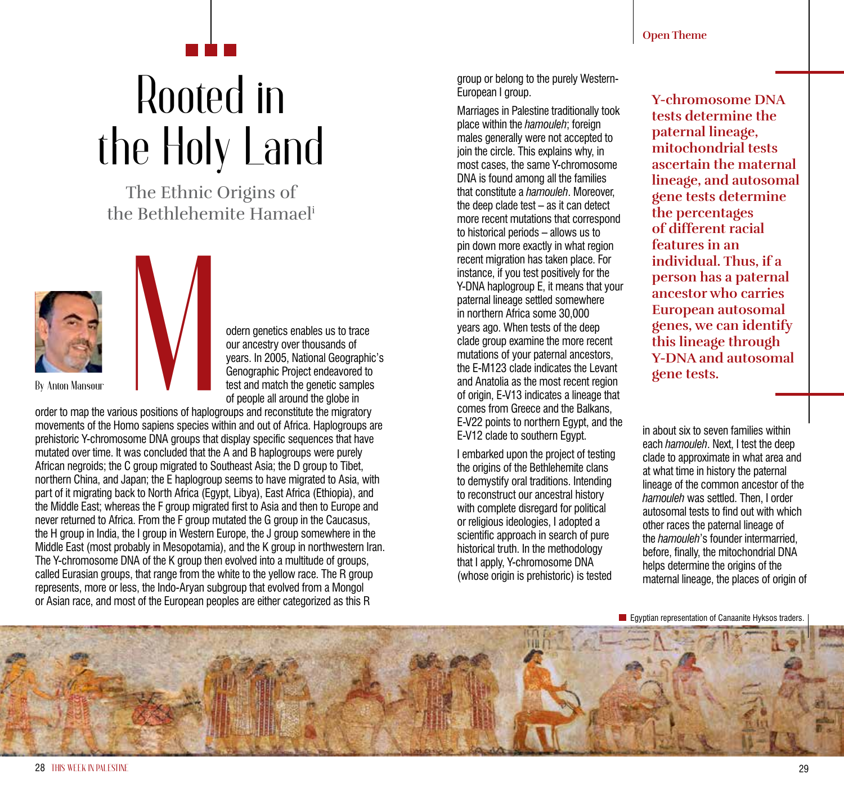## Rooted in the Holy Land

The Ethnic Origins of the Bethlehemite Hamaeli



**By Anton Mansour**

odern genetics enables us to trace our ancestry over thousands of years. In 2005, National Geographic's Genographic Project endeavored to test and match the genetic samples of people all around the globe in

order to map the various positions of haplogroups and reconstitute the migratory movements of the Homo sapiens species within and out of Africa. Haplogroups are prehistoric Y-chromosome DNA groups that display specific sequences that have mutated over time. It was concluded that the A and B haplogroups were purely African negroids; the C group migrated to Southeast Asia; the D group to Tibet, northern China, and Japan; the E haplogroup seems to have migrated to Asia, with part of it migrating back to North Africa (Egypt, Libya), East Africa (Ethiopia), and the Middle East; whereas the F group migrated first to Asia and then to Europe and never returned to Africa. From the F group mutated the G group in the Caucasus, the H group in India, the I group in Western Europe, the J group somewhere in the Middle East (most probably in Mesopotamia), and the K group in northwestern Iran. The Y-chromosome DNA of the K group then evolved into a multitude of groups, called Eurasian groups, that range from the white to the yellow race. The R group represents, more or less, the Indo-Aryan subgroup that evolved from a Mongol or Asian race, and most of the European peoples are either categorized as this R us positions of haplog<br>mo sapiens species w

group or belong to the purely Western-European I group.

Marriages in Palestine traditionally took place within the *hamouleh*; foreign males generally were not accepted to join the circle. This explains why, in most cases, the same Y-chromosome DNA is found among all the families that constitute a *hamouleh*. Moreover, the deep clade test – as it can detect more recent mutations that correspond to historical periods – allows us to pin down more exactly in what region recent migration has taken place. For instance, if you test positively for the Y-DNA haplogroup E, it means that your paternal lineage settled somewhere in northern Africa some 30,000 years ago. When tests of the deep clade group examine the more recent mutations of your paternal ancestors, the E-M123 clade indicates the Levant and Anatolia as the most recent region of origin, E-V13 indicates a lineage that comes from Greece and the Balkans, E-V22 points to northern Egypt, and the E-V12 clade to southern Egypt.

I embarked upon the project of testing the origins of the Bethlehemite clans to demystify oral traditions. Intending to reconstruct our ancestral history with complete disregard for political or religious ideologies, I adopted a scientific approach in search of pure historical truth. In the methodology that I apply, Y-chromosome DNA (whose origin is prehistoric) is tested

**Y-chromosome DNA tests determine the paternal lineage, mitochondrial tests ascertain the maternal lineage, and autosomal gene tests determine the percentages of different racial features in an individual. Thus, if a person has a paternal ancestor who carries European autosomal genes, we can identify this lineage through Y-DNA and autosomal gene tests.** 

in about six to seven families within each *hamouleh*. Next, I test the deep clade to approximate in what area and at what time in history the paternal lineage of the common ancestor of the *hamouleh* was settled. Then, I order autosomal tests to find out with which other races the paternal lineage of the *hamouleh*'s founder intermarried, before, finally, the mitochondrial DNA helps determine the origins of the maternal lineage, the places of origin of

**E** Egyptian representation of Canaanite Hyksos traders.

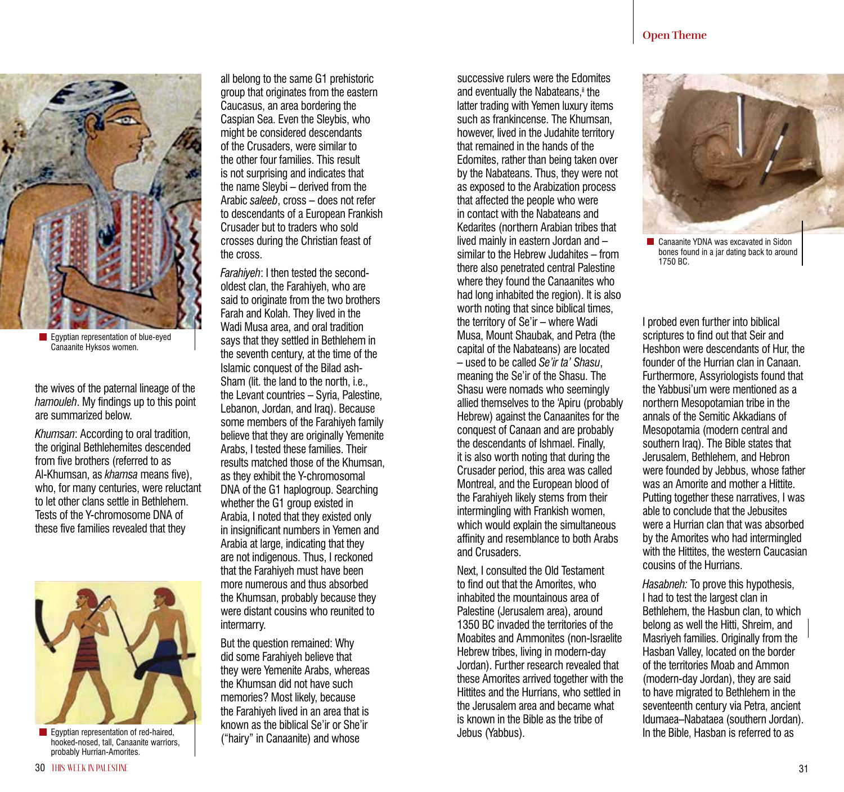

**Egyptian representation of blue-eyed** Canaanite Hyksos women.

the wives of the paternal lineage of the *hamouleh*. My findings up to this point are summarized below.

*Khumsan*: According to oral tradition, the original Bethlehemites descended from five brothers (referred to as Al-Khumsan, as *khamsa* means five), who, for many centuries, were reluctant to let other clans settle in Bethlehem. Tests of the Y-chromosome DNA of these five families revealed that they



hooked-nosed, tall, Canaanite warriors, probably Hurrian-Amorites.

all belong to the same G1 prehistoric group that originates from the eastern Caucasus, an area bordering the Caspian Sea. Even the Sleybis, who might be considered descendants of the Crusaders, were similar to the other four families. This result is not surprising and indicates that the name Sleybi – derived from the Arabic *saleeb*, cross – does not refer to descendants of a European Frankish Crusader but to traders who sold crosses during the Christian feast of the cross.

*Farahiyeh*: I then tested the secondoldest clan, the Farahiyeh, who are said to originate from the two brothers Farah and Kolah. They lived in the Wadi Musa area, and oral tradition says that they settled in Bethlehem in the seventh century, at the time of the Islamic conquest of the Bilad ash-Sham (lit. the land to the north, i.e., the Levant countries – Syria, Palestine, Lebanon, Jordan, and Iraq). Because some members of the Farahiyeh family believe that they are originally Yemenite Arabs, I tested these families. Their results matched those of the Khumsan, as they exhibit the Y-chromosomal DNA of the G1 haplogroup. Searching whether the G1 group existed in Arabia, I noted that they existed only in insignificant numbers in Yemen and Arabia at large, indicating that they are not indigenous. Thus, I reckoned that the Farahiyeh must have been more numerous and thus absorbed the Khumsan, probably because they were distant cousins who reunited to intermarry.

But the question remained: Why did some Farahiyeh believe that they were Yemenite Arabs, whereas the Khumsan did not have such memories? Most likely, because the Farahiyeh lived in an area that is known as the biblical Se'ir or She'ir ("hairy" in Canaanite) and whose

successive rulers were the Edomites and eventually the Nabateans.<sup>ii</sup> the latter trading with Yemen luxury items such as frankincense. The Khumsan, however, lived in the Judahite territory that remained in the hands of the Edomites, rather than being taken over by the Nabateans. Thus, they were not as exposed to the Arabization process that affected the people who were in contact with the Nabateans and Kedarites (northern Arabian tribes that lived mainly in eastern Jordan and – similar to the Hebrew Judahites – from there also penetrated central Palestine where they found the Canaanites who had long inhabited the region). It is also worth noting that since biblical times. the territory of Se'ir – where Wadi Musa, Mount Shaubak, and Petra (the capital of the Nabateans) are located – used to be called *Se'ir ta' Shasu*, meaning the Se'ir of the Shasu. The Shasu were nomads who seemingly allied themselves to the 'Apiru (probably Hebrew) against the Canaanites for the conquest of Canaan and are probably the descendants of Ishmael. Finally, it is also worth noting that during the Crusader period, this area was called Montreal, and the European blood of the Farahiyeh likely stems from their intermingling with Frankish women, which would explain the simultaneous affinity and resemblance to both Arabs and Crusaders.

Next, I consulted the Old Testament to find out that the Amorites, who inhabited the mountainous area of Palestine (Jerusalem area), around 1350 BC invaded the territories of the Moabites and Ammonites (non-Israelite Hebrew tribes, living in modern-day Jordan). Further research revealed that these Amorites arrived together with the Hittites and the Hurrians, who settled in the Jerusalem area and became what is known in the Bible as the tribe of Jebus (Yabbus).



**Canaanite YDNA was excavated in Sidon** bones found in a jar dating back to around 1750 BC.

I probed even further into biblical scriptures to find out that Seir and Heshbon were descendants of Hur, the founder of the Hurrian clan in Canaan. Furthermore, Assyriologists found that the Yabbusi'um were mentioned as a northern Mesopotamian tribe in the annals of the Semitic Akkadians of Mesopotamia (modern central and southern Iraq). The Bible states that Jerusalem, Bethlehem, and Hebron were founded by Jebbus, whose father was an Amorite and mother a Hittite. Putting together these narratives, I was able to conclude that the Jebusites were a Hurrian clan that was absorbed by the Amorites who had intermingled with the Hittites, the western Caucasian cousins of the Hurrians.

*Hasabneh:* To prove this hypothesis, I had to test the largest clan in Bethlehem, the Hasbun clan, to which belong as well the Hitti, Shreim, and Masriyeh families. Originally from the Hasban Valley, located on the border of the territories Moab and Ammon (modern-day Jordan), they are said to have migrated to Bethlehem in the seventeenth century via Petra, ancient Idumaea–Nabataea (southern Jordan). In the Bible, Hasban is referred to as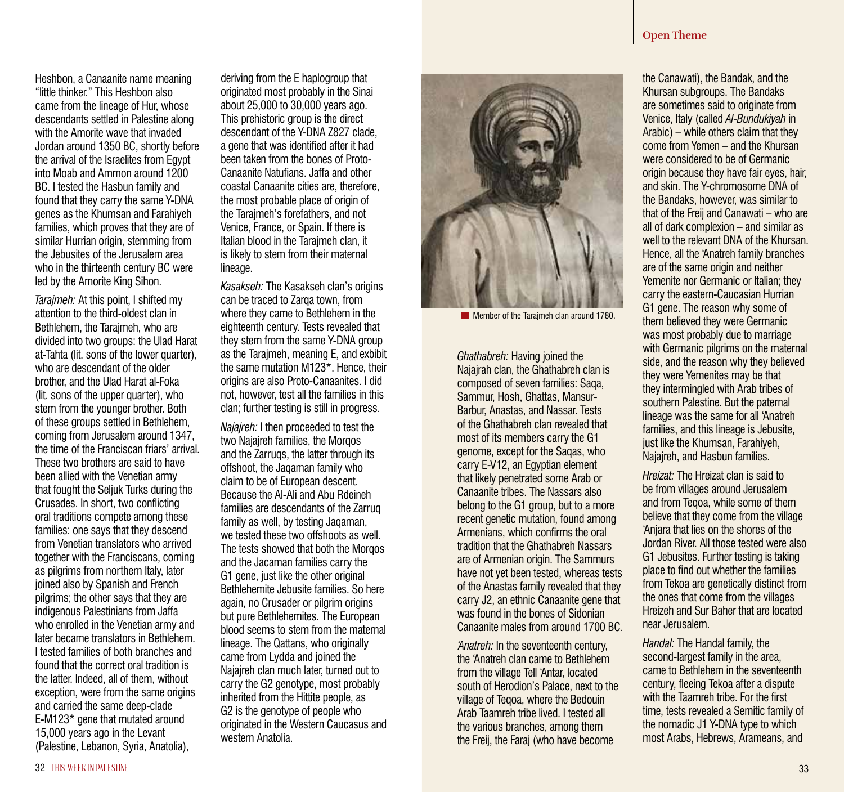Heshbon, a Canaanite name meaning "little thinker." This Heshbon also came from the lineage of Hur, whose descendants settled in Palestine along with the Amorite wave that invaded Jordan around 1350 BC, shortly before the arrival of the Israelites from Egypt into Moab and Ammon around 1200 BC. I tested the Hasbun family and found that they carry the same Y-DNA genes as the Khumsan and Farahiyeh families, which proves that they are of similar Hurrian origin, stemming from the Jebusites of the Jerusalem area who in the thirteenth century BC were led by the Amorite King Sihon.

*Tarajmeh:* At this point, I shifted my attention to the third-oldest clan in Bethlehem, the Tarajmeh, who are divided into two groups: the Ulad Harat at-Tahta (lit. sons of the lower quarter), who are descendant of the older brother, and the Ulad Harat al-Foka (lit. sons of the upper quarter), who stem from the younger brother. Both of these groups settled in Bethlehem, coming from Jerusalem around 1347, the time of the Franciscan friars' arrival. These two brothers are said to have been allied with the Venetian army that fought the Seljuk Turks during the Crusades. In short, two conflicting oral traditions compete among these families: one says that they descend from Venetian translators who arrived together with the Franciscans, coming as pilgrims from northern Italy, later joined also by Spanish and French pilgrims; the other says that they are indigenous Palestinians from Jaffa who enrolled in the Venetian army and later became translators in Bethlehem. I tested families of both branches and found that the correct oral tradition is the latter. Indeed, all of them, without exception, were from the same origins and carried the same deep-clade E-M123\* gene that mutated around 15,000 years ago in the Levant (Palestine, Lebanon, Syria, Anatolia),

deriving from the E haplogroup that originated most probably in the Sinai about 25,000 to 30,000 years ago. This prehistoric group is the direct descendant of the Y-DNA Z827 clade, a gene that was identified after it had been taken from the bones of Proto-Canaanite Natufians. Jaffa and other coastal Canaanite cities are, therefore, the most probable place of origin of the Tarajmeh's forefathers, and not Venice, France, or Spain. If there is Italian blood in the Tarajmeh clan, it is likely to stem from their maternal lineage.

*Kasakseh:* The Kasakseh clan's origins can be traced to Zarga town, from where they came to Bethlehem in the eighteenth century. Tests revealed that they stem from the same Y-DNA group as the Tarajmeh, meaning E, and exbibit the same mutation M123\*. Hence, their origins are also Proto-Canaanites. I did not, however, test all the families in this clan; further testing is still in progress.

*Najajreh:* I then proceeded to test the two Najajreh families, the Morgos and the Zarruqs, the latter through its offshoot, the Jaqaman family who claim to be of European descent. Because the Al-Ali and Abu Rdeineh families are descendants of the Zarruq family as well, by testing Jaqaman, we tested these two offshoots as well. The tests showed that both the Morqos and the Jacaman families carry the G1 gene, just like the other original Bethlehemite Jebusite families. So here again, no Crusader or pilgrim origins but pure Bethlehemites. The European blood seems to stem from the maternal lineage. The Qattans, who originally came from Lydda and joined the Najajreh clan much later, turned out to carry the G2 genotype, most probably inherited from the Hittite people, as G2 is the genotype of people who originated in the Western Caucasus and western Anatolia.



Member of the Tarajmeh clan around 1780.

*Ghathabreh:* Having joined the Najajrah clan, the Ghathabreh clan is composed of seven families: Saqa, Sammur, Hosh, Ghattas, Mansur-Barbur, Anastas, and Nassar. Tests of the Ghathabreh clan revealed that most of its members carry the G1 genome, except for the Saqas, who carry E-V12, an Egyptian element that likely penetrated some Arab or Canaanite tribes. The Nassars also belong to the G1 group, but to a more recent genetic mutation, found among Armenians, which confirms the oral tradition that the Ghathabreh Nassars are of Armenian origin. The Sammurs have not yet been tested, whereas tests of the Anastas family revealed that they carry J2, an ethnic Canaanite gene that was found in the bones of Sidonian Canaanite males from around 1700 BC.

*'Anatreh:* In the seventeenth century, the 'Anatreh clan came to Bethlehem from the village Tell 'Antar, located south of Herodion's Palace, next to the village of Teqoa, where the Bedouin Arab Taamreh tribe lived. I tested all the various branches, among them the Freij, the Faraj (who have become

## **Open Theme**

the Canawati), the Bandak, and the Khursan subgroups. The Bandaks are sometimes said to originate from Venice, Italy (called *Al-Bundukiyah* in Arabic) – while others claim that they come from Yemen – and the Khursan were considered to be of Germanic origin because they have fair eyes, hair, and skin. The Y-chromosome DNA of the Bandaks, however, was similar to that of the Freij and Canawati – who are all of dark complexion – and similar as well to the relevant DNA of the Khursan. Hence, all the 'Anatreh family branches are of the same origin and neither Yemenite nor Germanic or Italian; they carry the eastern-Caucasian Hurrian G1 gene. The reason why some of them believed they were Germanic was most probably due to marriage with Germanic pilgrims on the maternal side, and the reason why they believed they were Yemenites may be that they intermingled with Arab tribes of southern Palestine. But the paternal lineage was the same for all 'Anatreh families, and this lineage is Jebusite, just like the Khumsan, Farahiyeh, Najajreh, and Hasbun families.

*Hreizat:* The Hreizat clan is said to be from villages around Jerusalem and from Teqoa, while some of them believe that they come from the village 'Anjara that lies on the shores of the Jordan River. All those tested were also G1 Jebusites. Further testing is taking place to find out whether the families from Tekoa are genetically distinct from the ones that come from the villages Hreizeh and Sur Baher that are located near Jerusalem.

*Handal:* The Handal family, the second-largest family in the area, came to Bethlehem in the seventeenth century, fleeing Tekoa after a dispute with the Taamreh tribe. For the first time, tests revealed a Semitic family of the nomadic J1 Y-DNA type to which most Arabs, Hebrews, Arameans, and